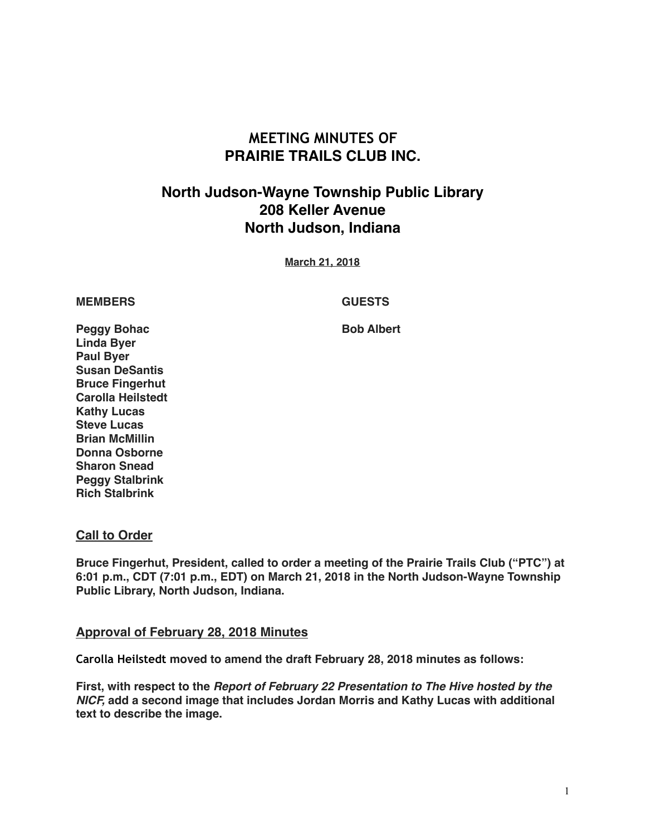# **MEETING MINUTES OF PRAIRIE TRAILS CLUB INC.**

# **North Judson-Wayne Township Public Library 208 Keller Avenue North Judson, Indiana**

**March 21, 2018**

#### **MEMBERS GUESTS**

**Peggy Bohac Bob Albert Linda Byer Paul Byer Susan DeSantis Bruce Fingerhut Carolla Heilstedt Kathy Lucas Steve Lucas Brian McMillin Donna Osborne Sharon Snead Peggy Stalbrink Rich Stalbrink**

### **Call to Order**

**Bruce Fingerhut, President, called to order a meeting of the Prairie Trails Club ("PTC") at 6:01 p.m., CDT (7:01 p.m., EDT) on March 21, 2018 in the North Judson-Wayne Township Public Library, North Judson, Indiana.**

#### **Approval of February 28, 2018 Minutes**

**Carolla Heilstedt moved to amend the draft February 28, 2018 minutes as follows:** 

**First, with respect to the** *Report of February 22 Presentation to The Hive hosted by the NICF,* **add a second image that includes Jordan Morris and Kathy Lucas with additional text to describe the image.**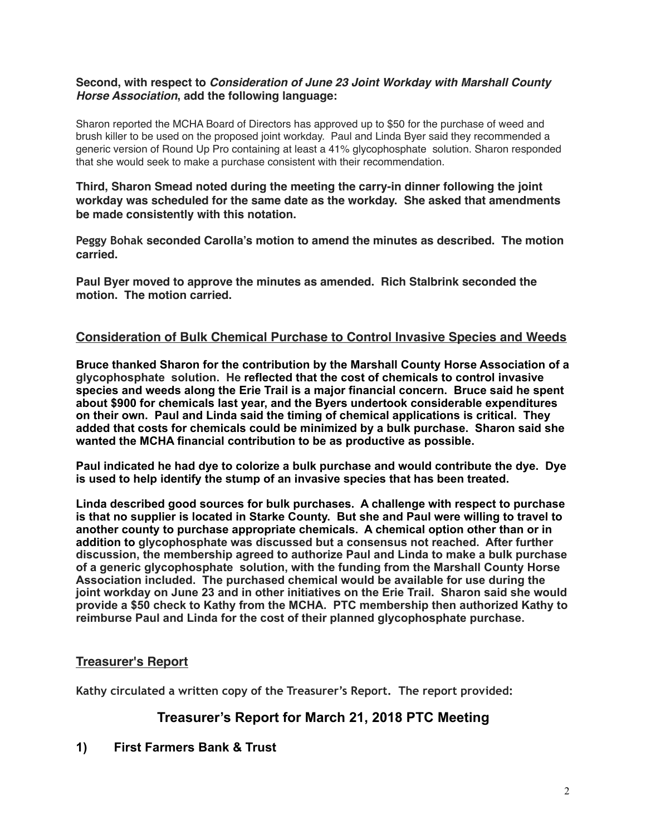### **Second, with respect to** *Consideration of June 23 Joint Workday with Marshall County Horse Association***, add the following language:**

Sharon reported the MCHA Board of Directors has approved up to \$50 for the purchase of weed and brush killer to be used on the proposed joint workday. Paul and Linda Byer said they recommended a generic version of Round Up Pro containing at least a 41% glycophosphate solution. Sharon responded that she would seek to make a purchase consistent with their recommendation.

**Third, Sharon Smead noted during the meeting the carry-in dinner following the joint workday was scheduled for the same date as the workday. She asked that amendments be made consistently with this notation.** 

**Peggy Bohak seconded Carolla's motion to amend the minutes as described. The motion carried.**

**Paul Byer moved to approve the minutes as amended. Rich Stalbrink seconded the motion. The motion carried.**

# **Consideration of Bulk Chemical Purchase to Control Invasive Species and Weeds**

**Bruce thanked Sharon for the contribution by the Marshall County Horse Association of a glycophosphate solution. He reflected that the cost of chemicals to control invasive species and weeds along the Erie Trail is a major financial concern. Bruce said he spent about \$900 for chemicals last year, and the Byers undertook considerable expenditures on their own. Paul and Linda said the timing of chemical applications is critical. They added that costs for chemicals could be minimized by a bulk purchase. Sharon said she wanted the MCHA financial contribution to be as productive as possible.** 

**Paul indicated he had dye to colorize a bulk purchase and would contribute the dye. Dye is used to help identify the stump of an invasive species that has been treated.** 

**Linda described good sources for bulk purchases. A challenge with respect to purchase is that no supplier is located in Starke County. But she and Paul were willing to travel to another county to purchase appropriate chemicals. A chemical option other than or in addition to glycophosphate was discussed but a consensus not reached. After further discussion, the membership agreed to authorize Paul and Linda to make a bulk purchase of a generic glycophosphate solution, with the funding from the Marshall County Horse Association included. The purchased chemical would be available for use during the joint workday on June 23 and in other initiatives on the Erie Trail. Sharon said she would provide a \$50 check to Kathy from the MCHA. PTC membership then authorized Kathy to reimburse Paul and Linda for the cost of their planned glycophosphate purchase.**

### **Treasurer's Report**

**Kathy circulated a written copy of the Treasurer's Report. The report provided:** 

# **Treasurer's Report for March 21, 2018 PTC Meeting**

### **1) First Farmers Bank & Trust**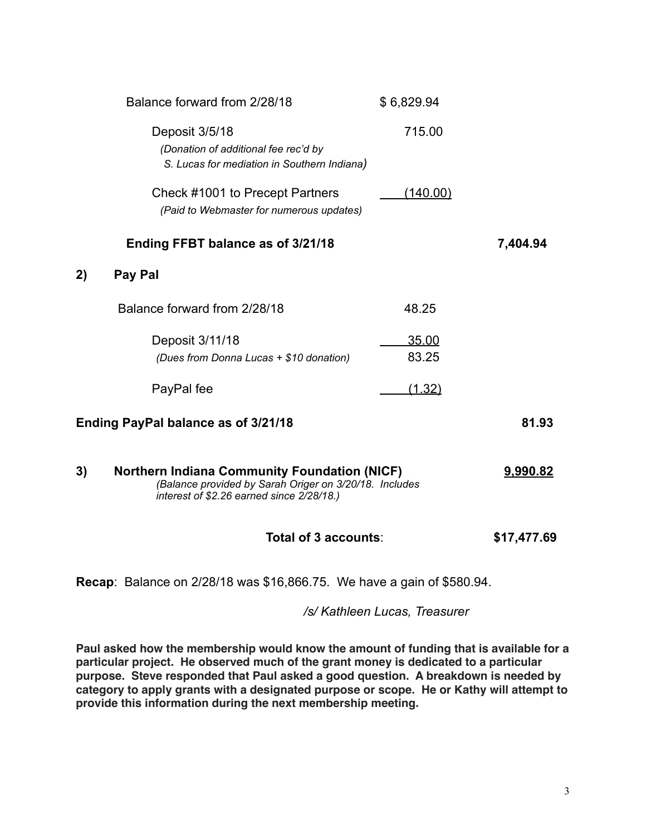|                                     | Balance forward from 2/28/18                                                                                                                               | \$6,829.94     |          |
|-------------------------------------|------------------------------------------------------------------------------------------------------------------------------------------------------------|----------------|----------|
|                                     | Deposit 3/5/18<br>(Donation of additional fee rec'd by<br>S. Lucas for mediation in Southern Indiana)                                                      | 715.00         |          |
|                                     | Check #1001 to Precept Partners<br>(Paid to Webmaster for numerous updates)                                                                                | (140.00)       |          |
|                                     | Ending FFBT balance as of 3/21/18                                                                                                                          |                | 7,404.94 |
| 2)                                  | Pay Pal                                                                                                                                                    |                |          |
|                                     | Balance forward from 2/28/18                                                                                                                               | 48.25          |          |
|                                     | Deposit 3/11/18<br>(Dues from Donna Lucas + \$10 donation)                                                                                                 | 35.00<br>83.25 |          |
|                                     | PayPal fee                                                                                                                                                 | (1.32)         |          |
| Ending PayPal balance as of 3/21/18 |                                                                                                                                                            |                | 81.93    |
| 3)                                  | <b>Northern Indiana Community Foundation (NICF)</b><br>(Balance provided by Sarah Origer on 3/20/18. Includes<br>interest of \$2.26 earned since 2/28/18.) |                |          |

# **Total of 3 accounts**: **\$17,477.69**

**Recap**: Balance on 2/28/18 was \$16,866.75. We have a gain of \$580.94.

*/s/ Kathleen Lucas, Treasurer* 

**Paul asked how the membership would know the amount of funding that is available for a particular project. He observed much of the grant money is dedicated to a particular purpose. Steve responded that Paul asked a good question. A breakdown is needed by category to apply grants with a designated purpose or scope. He or Kathy will attempt to provide this information during the next membership meeting.**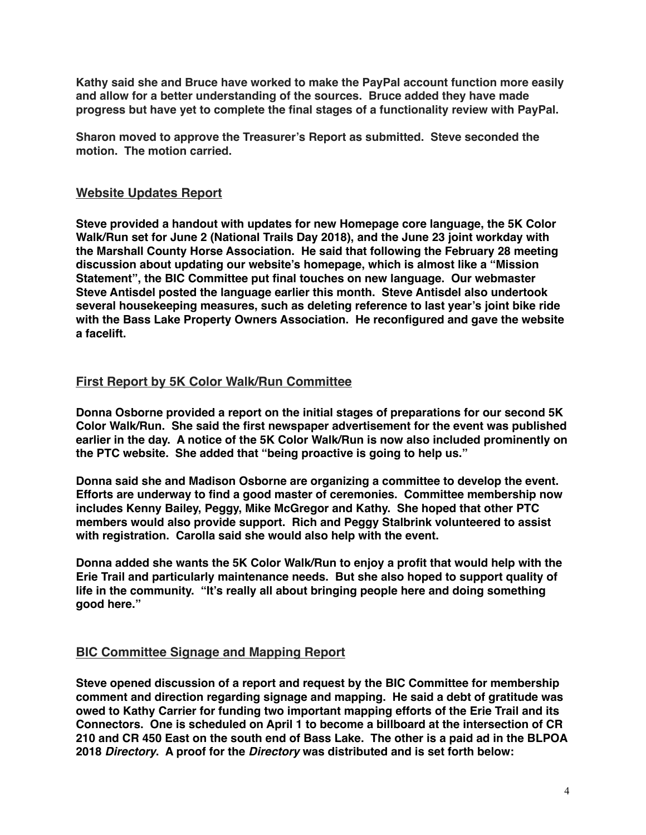**Kathy said she and Bruce have worked to make the PayPal account function more easily and allow for a better understanding of the sources. Bruce added they have made progress but have yet to complete the final stages of a functionality review with PayPal.**

**Sharon moved to approve the Treasurer's Report as submitted. Steve seconded the motion. The motion carried.**

## **Website Updates Report**

**Steve provided a handout with updates for new Homepage core language, the 5K Color Walk/Run set for June 2 (National Trails Day 2018), and the June 23 joint workday with the Marshall County Horse Association. He said that following the February 28 meeting discussion about updating our website's homepage, which is almost like a "Mission Statement", the BIC Committee put final touches on new language. Our webmaster Steve Antisdel posted the language earlier this month. Steve Antisdel also undertook several housekeeping measures, such as deleting reference to last year's joint bike ride with the Bass Lake Property Owners Association. He reconfigured and gave the website a facelift.**

## **First Report by 5K Color Walk/Run Committee**

**Donna Osborne provided a report on the initial stages of preparations for our second 5K Color Walk/Run. She said the first newspaper advertisement for the event was published earlier in the day. A notice of the 5K Color Walk/Run is now also included prominently on the PTC website. She added that "being proactive is going to help us."**

**Donna said she and Madison Osborne are organizing a committee to develop the event. Efforts are underway to find a good master of ceremonies. Committee membership now includes Kenny Bailey, Peggy, Mike McGregor and Kathy. She hoped that other PTC members would also provide support. Rich and Peggy Stalbrink volunteered to assist with registration. Carolla said she would also help with the event.**

**Donna added she wants the 5K Color Walk/Run to enjoy a profit that would help with the Erie Trail and particularly maintenance needs. But she also hoped to support quality of life in the community. "It's really all about bringing people here and doing something good here."** 

# **BIC Committee Signage and Mapping Report**

**Steve opened discussion of a report and request by the BIC Committee for membership comment and direction regarding signage and mapping. He said a debt of gratitude was owed to Kathy Carrier for funding two important mapping efforts of the Erie Trail and its Connectors. One is scheduled on April 1 to become a billboard at the intersection of CR 210 and CR 450 East on the south end of Bass Lake. The other is a paid ad in the BLPOA 2018** *Directory***. A proof for the** *Directory* **was distributed and is set forth below:**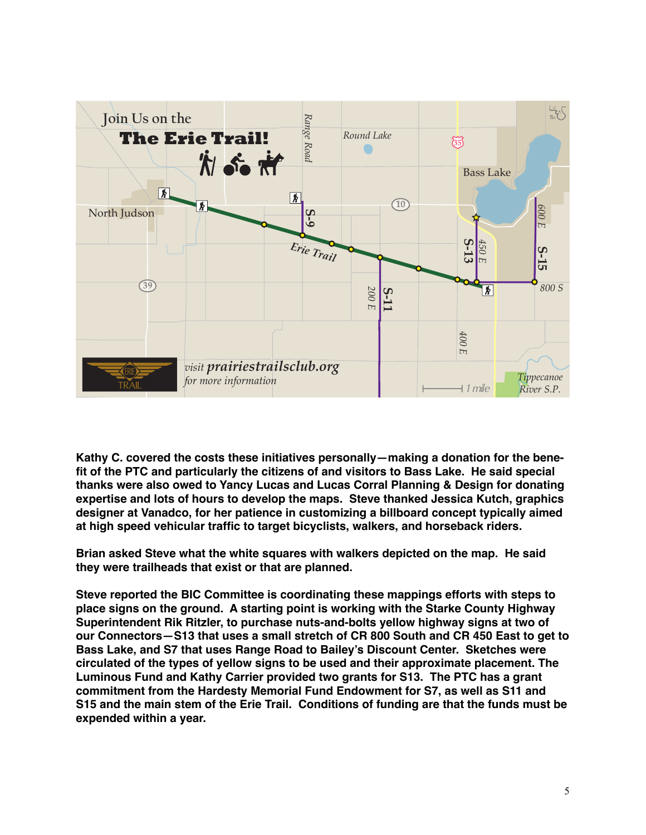

**Kathy C. covered the costs these initiatives personally—making a donation for the benefit of the PTC and particularly the citizens of and visitors to Bass Lake. He said special thanks were also owed to Yancy Lucas and Lucas Corral Planning & Design for donating expertise and lots of hours to develop the maps. Steve thanked Jessica Kutch, graphics designer at Vanadco, for her patience in customizing a billboard concept typically aimed at high speed vehicular traffic to target bicyclists, walkers, and horseback riders.**

**Brian asked Steve what the white squares with walkers depicted on the map. He said they were trailheads that exist or that are planned.**

**Steve reported the BIC Committee is coordinating these mappings efforts with steps to place signs on the ground. A starting point is working with the Starke County Highway Superintendent Rik Ritzler, to purchase nuts-and-bolts yellow highway signs at two of our Connectors—S13 that uses a small stretch of CR 800 South and CR 450 East to get to Bass Lake, and S7 that uses Range Road to Bailey's Discount Center. Sketches were circulated of the types of yellow signs to be used and their approximate placement. The Luminous Fund and Kathy Carrier provided two grants for S13. The PTC has a grant commitment from the Hardesty Memorial Fund Endowment for S7, as well as S11 and S15 and the main stem of the Erie Trail. Conditions of funding are that the funds must be expended within a year.**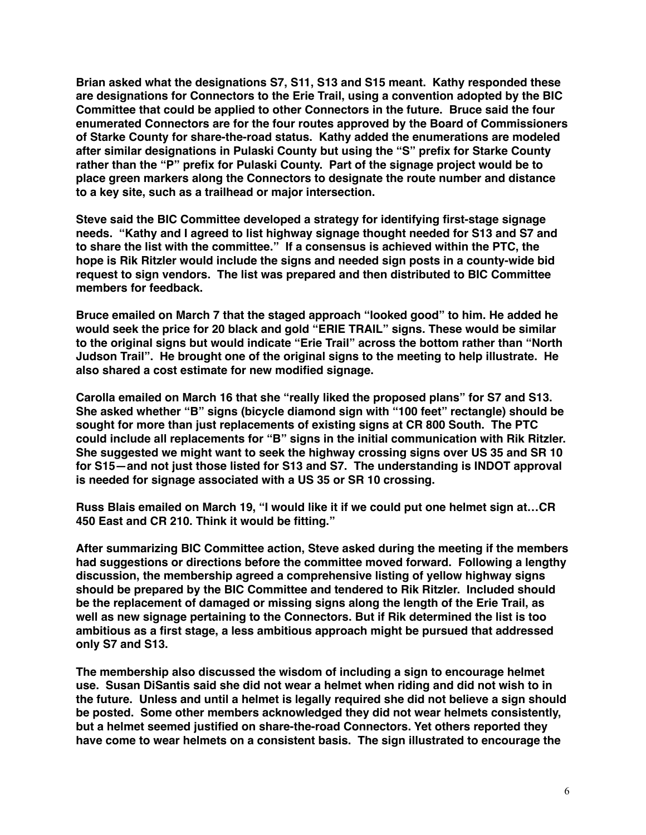**Brian asked what the designations S7, S11, S13 and S15 meant. Kathy responded these are designations for Connectors to the Erie Trail, using a convention adopted by the BIC Committee that could be applied to other Connectors in the future. Bruce said the four enumerated Connectors are for the four routes approved by the Board of Commissioners of Starke County for share-the-road status. Kathy added the enumerations are modeled after similar designations in Pulaski County but using the "S" prefix for Starke County rather than the "P" prefix for Pulaski County. Part of the signage project would be to place green markers along the Connectors to designate the route number and distance to a key site, such as a trailhead or major intersection.**

**Steve said the BIC Committee developed a strategy for identifying first-stage signage needs. "Kathy and I agreed to list highway signage thought needed for S13 and S7 and to share the list with the committee." If a consensus is achieved within the PTC, the hope is Rik Ritzler would include the signs and needed sign posts in a county-wide bid request to sign vendors. The list was prepared and then distributed to BIC Committee members for feedback.**

**Bruce emailed on March 7 that the staged approach "looked good" to him. He added he would seek the price for 20 black and gold "ERIE TRAIL" signs. These would be similar to the original signs but would indicate "Erie Trail" across the bottom rather than "North Judson Trail". He brought one of the original signs to the meeting to help illustrate. He also shared a cost estimate for new modified signage.**

**Carolla emailed on March 16 that she "really liked the proposed plans" for S7 and S13. She asked whether "B" signs (bicycle diamond sign with "100 feet" rectangle) should be sought for more than just replacements of existing signs at CR 800 South. The PTC could include all replacements for "B" signs in the initial communication with Rik Ritzler. She suggested we might want to seek the highway crossing signs over US 35 and SR 10 for S15—and not just those listed for S13 and S7. The understanding is INDOT approval is needed for signage associated with a US 35 or SR 10 crossing.** 

**Russ Blais emailed on March 19, "I would like it if we could put one helmet sign at…CR 450 East and CR 210. Think it would be fitting."**

**After summarizing BIC Committee action, Steve asked during the meeting if the members had suggestions or directions before the committee moved forward. Following a lengthy discussion, the membership agreed a comprehensive listing of yellow highway signs should be prepared by the BIC Committee and tendered to Rik Ritzler. Included should be the replacement of damaged or missing signs along the length of the Erie Trail, as well as new signage pertaining to the Connectors. But if Rik determined the list is too ambitious as a first stage, a less ambitious approach might be pursued that addressed only S7 and S13.**

**The membership also discussed the wisdom of including a sign to encourage helmet use. Susan DiSantis said she did not wear a helmet when riding and did not wish to in the future. Unless and until a helmet is legally required she did not believe a sign should be posted. Some other members acknowledged they did not wear helmets consistently, but a helmet seemed justified on share-the-road Connectors. Yet others reported they have come to wear helmets on a consistent basis. The sign illustrated to encourage the**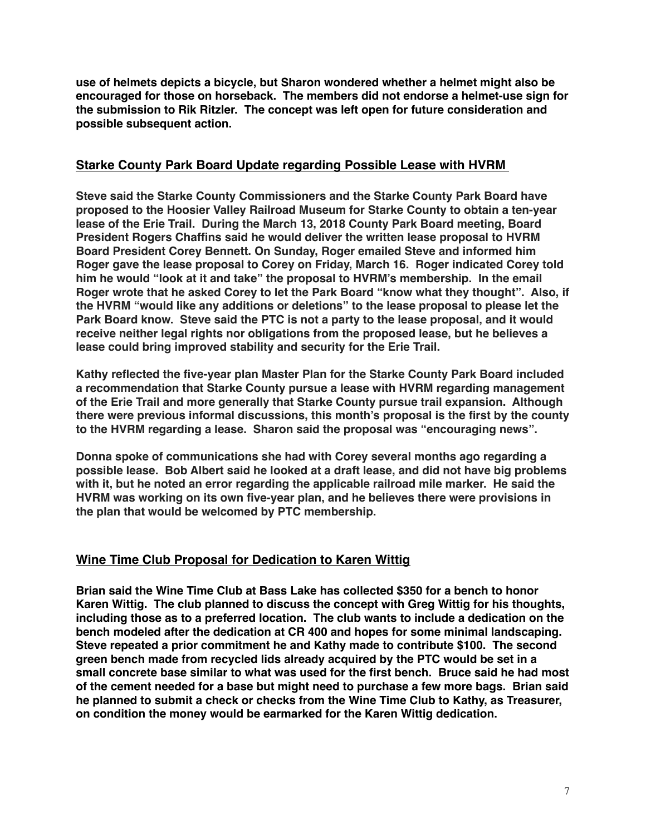**use of helmets depicts a bicycle, but Sharon wondered whether a helmet might also be encouraged for those on horseback. The members did not endorse a helmet-use sign for the submission to Rik Ritzler. The concept was left open for future consideration and possible subsequent action.** 

## **Starke County Park Board Update regarding Possible Lease with HVRM**

**Steve said the Starke County Commissioners and the Starke County Park Board have proposed to the Hoosier Valley Railroad Museum for Starke County to obtain a ten-year lease of the Erie Trail. During the March 13, 2018 County Park Board meeting, Board President Rogers Chaffins said he would deliver the written lease proposal to HVRM Board President Corey Bennett. On Sunday, Roger emailed Steve and informed him Roger gave the lease proposal to Corey on Friday, March 16. Roger indicated Corey told him he would "look at it and take" the proposal to HVRM's membership. In the email Roger wrote that he asked Corey to let the Park Board "know what they thought". Also, if the HVRM "would like any additions or deletions" to the lease proposal to please let the Park Board know. Steve said the PTC is not a party to the lease proposal, and it would receive neither legal rights nor obligations from the proposed lease, but he believes a lease could bring improved stability and security for the Erie Trail.** 

**Kathy reflected the five-year plan Master Plan for the Starke County Park Board included a recommendation that Starke County pursue a lease with HVRM regarding management of the Erie Trail and more generally that Starke County pursue trail expansion. Although there were previous informal discussions, this month's proposal is the first by the county to the HVRM regarding a lease. Sharon said the proposal was "encouraging news".**

**Donna spoke of communications she had with Corey several months ago regarding a possible lease. Bob Albert said he looked at a draft lease, and did not have big problems with it, but he noted an error regarding the applicable railroad mile marker. He said the HVRM was working on its own five-year plan, and he believes there were provisions in the plan that would be welcomed by PTC membership.**

# **Wine Time Club Proposal for Dedication to Karen Wittig**

**Brian said the Wine Time Club at Bass Lake has collected \$350 for a bench to honor Karen Wittig. The club planned to discuss the concept with Greg Wittig for his thoughts, including those as to a preferred location. The club wants to include a dedication on the bench modeled after the dedication at CR 400 and hopes for some minimal landscaping. Steve repeated a prior commitment he and Kathy made to contribute \$100. The second green bench made from recycled lids already acquired by the PTC would be set in a small concrete base similar to what was used for the first bench. Bruce said he had most of the cement needed for a base but might need to purchase a few more bags. Brian said he planned to submit a check or checks from the Wine Time Club to Kathy, as Treasurer, on condition the money would be earmarked for the Karen Wittig dedication.**